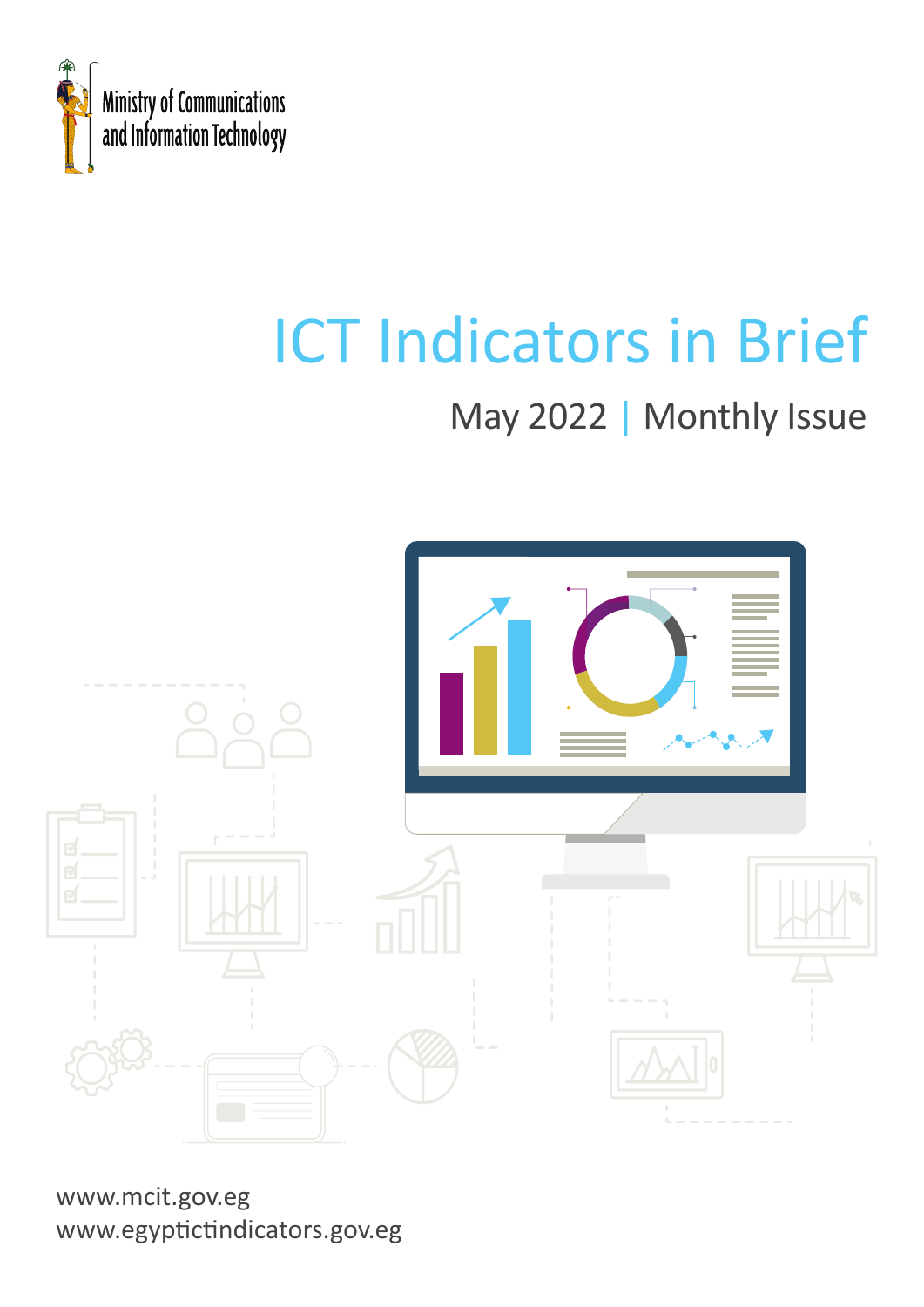

# ICT Indicators in Brief

## May 2022 | Monthly Issue



www.mcit.gov.eg www.egyptictindicators.gov.eg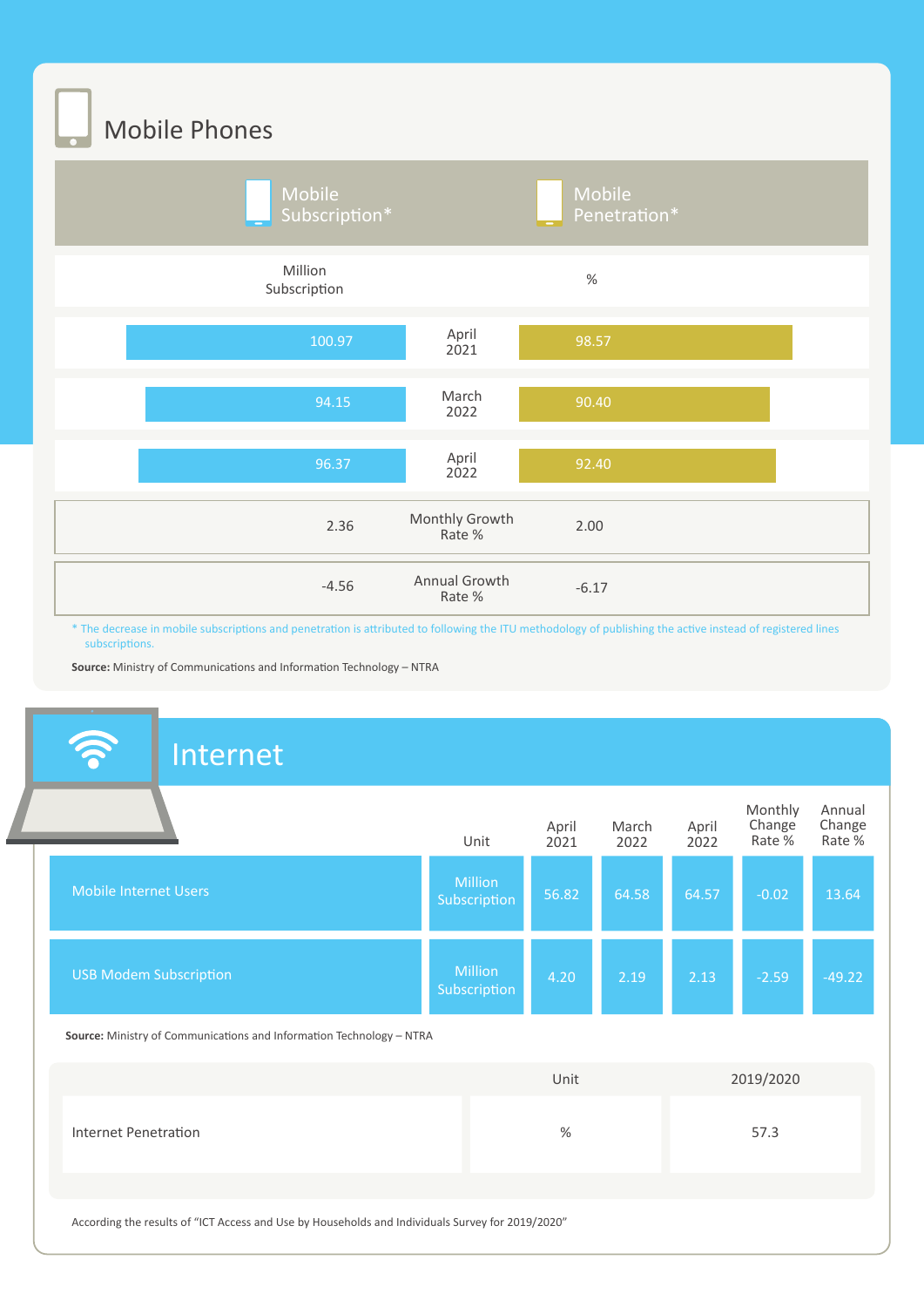Mobile Phones



\* The decrease in mobile subscriptions and penetration is attributed to following the ITU methodology of publishing the active instead of registered lines subscriptions.

**Source:** Ministry of Communications and Information Technology – NTRA

#### Internet **Million** Subscription 56.82 64.58 64.57 -0.02 13.64 Million 4.20 2.19 2.13 -2.59 -49.22 **Subscription** Mobile Internet Users USB Modem Subscription Unit April 2021 April 2022 Monthly Change Rate % Annual Change Rate % March 2022 Unit 2019/2020 **Source:** Ministry of Communications and Information Technology – NTRA

Internet Penetration % 57.3

According the results of "ICT Access and Use by Households and Individuals Survey for 2019/2020"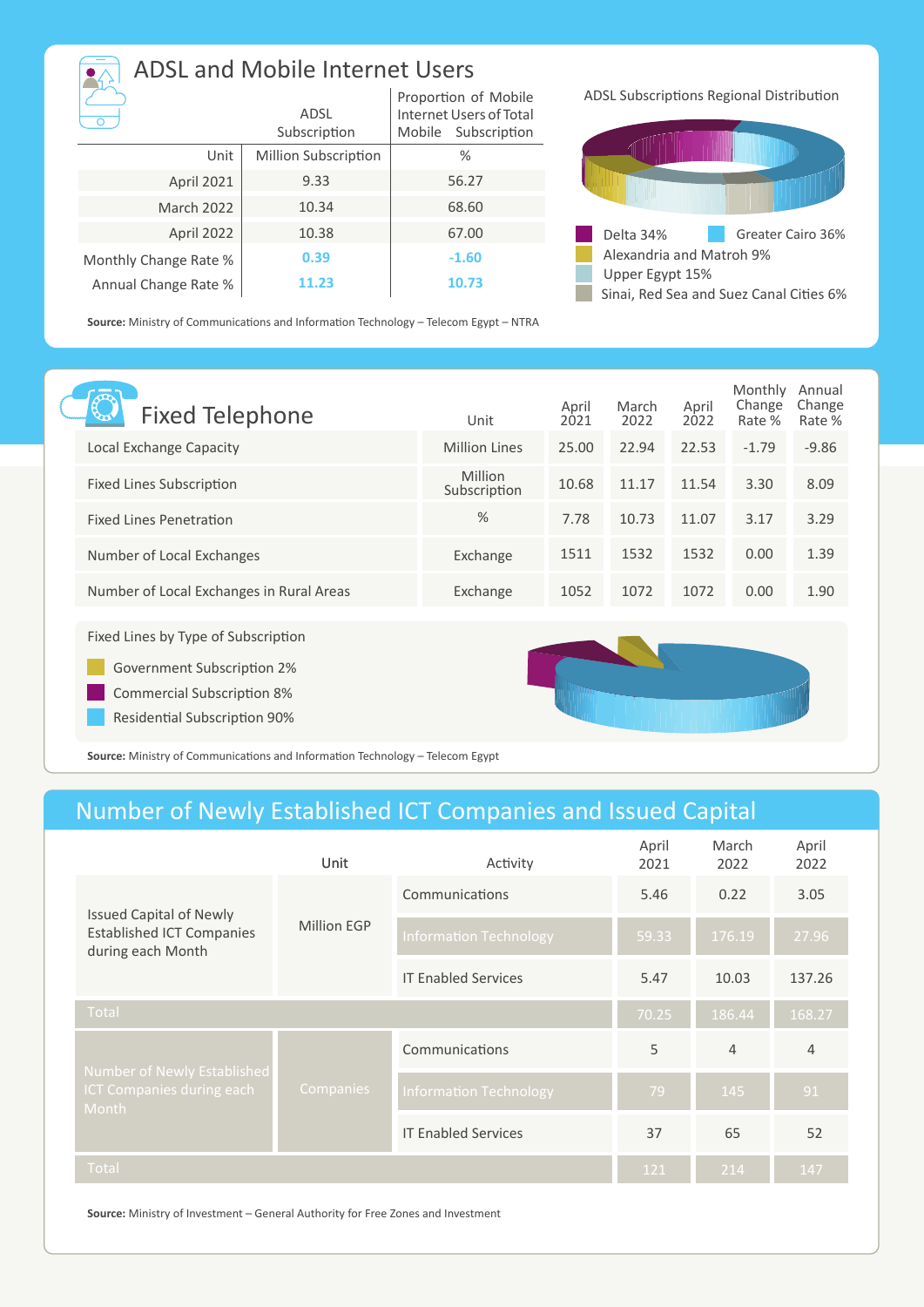| <b>ADSL and Mobile Internet Users</b> |                             |                                                                           |  |  |  |
|---------------------------------------|-----------------------------|---------------------------------------------------------------------------|--|--|--|
|                                       | ADSL<br>Subscription        | Proportion of Mobile<br>Internet Users of Total<br>Subscription<br>Mobile |  |  |  |
| Unit                                  | <b>Million Subscription</b> | $\%$                                                                      |  |  |  |
| April 2021                            | 9.33                        | 56.27                                                                     |  |  |  |
| <b>March 2022</b>                     | 10.34                       | 68.60                                                                     |  |  |  |
| April 2022                            | 10.38                       | 67.00                                                                     |  |  |  |
| Monthly Change Rate %                 | 0.39                        | $-1.60$                                                                   |  |  |  |
| Annual Change Rate %                  | 11.23                       | 10.73                                                                     |  |  |  |

ADSL Subscriptions Regional Distribution



Sinai, Red Sea and Suez Canal Cities 6%

**Source:** Ministry of Communications and Information Technology – Telecom Egypt – NTRA

| <b>Fixed Telephone</b>                                                                                 | Unit                    | April<br>2021 | March<br>2022 | April<br>2022 | Monthly<br>Change<br>Rate % | Annual<br>Change<br>Rate % |
|--------------------------------------------------------------------------------------------------------|-------------------------|---------------|---------------|---------------|-----------------------------|----------------------------|
| Local Exchange Capacity                                                                                | <b>Million Lines</b>    | 25.00         | 22.94         | 22.53         | $-1.79$                     | $-9.86$                    |
| Fixed Lines Subscription                                                                               | Million<br>Subscription | 10.68         | 11.17         | 11.54         | 3.30                        | 8.09                       |
| <b>Fixed Lines Penetration</b>                                                                         | $\%$                    | 7.78          | 10.73         | 11.07         | 3.17                        | 3.29                       |
| Number of Local Exchanges                                                                              | Exchange                | 1511          | 1532          | 1532          | 0.00                        | 1.39                       |
| Number of Local Exchanges in Rural Areas                                                               | Exchange                | 1052          | 1072          | 1072          | 0.00                        | 1.90                       |
| Fixed Lines by Type of Subscription<br>Government Subscription 2%<br><b>Commercial Subscription 8%</b> |                         |               |               |               |                             |                            |
|                                                                                                        |                         |               |               |               |                             |                            |

Residential Subscription 90%

**Source:** Ministry of Communications and Information Technology – Telecom Egypt

### Number of Newly Established ICT Companies and Issued Capital

|                                                                                         | Unit        | Activity                      | April<br>2021 | March<br>2022  | April<br>2022  |
|-----------------------------------------------------------------------------------------|-------------|-------------------------------|---------------|----------------|----------------|
| <b>Issued Capital of Newly</b><br><b>Established ICT Companies</b><br>during each Month | Million EGP | Communications                | 5.46          | 0.22           | 3.05           |
|                                                                                         |             | <b>Information Technology</b> | 59.33         | 176.19         | 27.96          |
|                                                                                         |             | <b>IT Enabled Services</b>    | 5.47          | 10.03          | 137.26         |
| Total                                                                                   |             |                               | 70.25         | 186.44         | 168.27         |
| Number of Newly Established<br>ICT Companies during each<br><b>Month</b>                | Companies   | Communications                | 5             | $\overline{4}$ | $\overline{4}$ |
|                                                                                         |             | <b>Information Technology</b> | 79            | 145            | 91             |
|                                                                                         |             | <b>IT Enabled Services</b>    | 37            | 65             | 52             |
| Total                                                                                   |             |                               | 121           | 214            | 147            |

**Source:** Ministry of Investment – General Authority for Free Zones and Investment